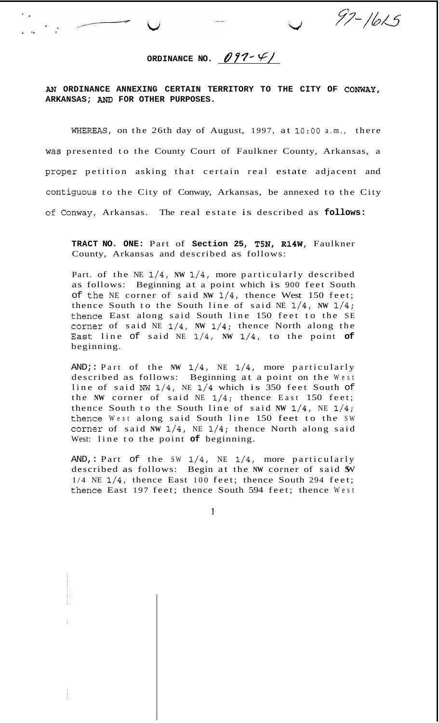ORDINANCE NO.  $097 - 61$ 

 $97 - 1615$ 

*AM* **ORDINANCE ANNEXING CERTAIN TERRITORY TO THE CITY OF CONWAY, ARKANSAS;** AND **FOR OTHER PURPOSES.** 

WHEFLEAS, on the 26th day of August, 1997, at **1O:OO** a.m., there was presented to the County Court of Faulkner County, Arkansas, a proper petition asking that certain real estate adjacent and contiguous to the City of Conway, Arkansas, be annexed to the City of Conway, Arkansas. The real estate is described as **follows:** 

**TRACT NO. ONE:** Part of **Section 25, T5N, R14W,** Faulkner County, Arkansas and described as follows:

Part. of the NE 1/4, **NW** 1/4, more particularly described as follows: Beginning at a point which is 900 feet South of the NE corner of said **NW** 1/4, thence West 150 feet; thence South to the South line of said NE **1/4, NW** 1/4; thence East along said South line 150 feet to the SE corner of said NE 1/4, **NW** 1/4; thence North along the East: line of said NE 1/4, **NW** 1/4, to the point **of**  beginning.

AND;: Part of the **NW** 1/4, NE **1/4,** more particularly described as follows: Beginning at a point on the West line of said **NW** l/4, NE 1/4 which is 350 feet South of the **NW** corner of said NE **1/4;** thence East 150 feet; thence South to the South line of said **NW** 1/4, NE 1/4; thence West along said South line 150 feet to the SW corner of said **NW** 1/4, NE 1/4; thence North along said West: line to the point **of** beginning.

AND,: Part of the SW 1/4, NE **1/4,** more particularly described as follows: Begin at the **NW** corner of said SW 1/4 NE **1/4,** thence East 100 feet; thence South 294 feet; thence East 197 feet; thence South 594 feet; thence West

 $\mathbf{1}$ 

ŧ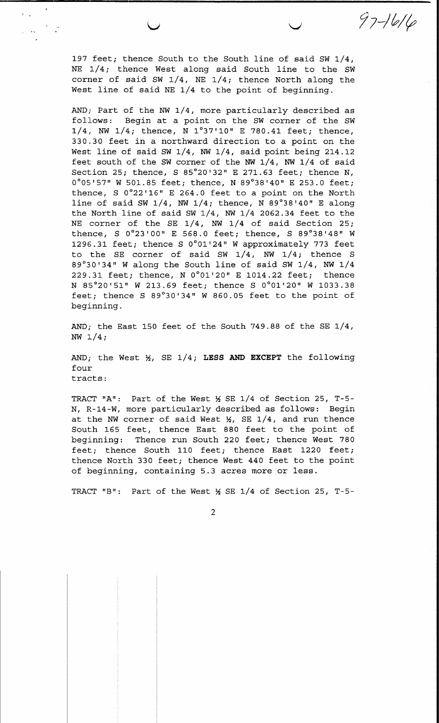197 feet; thence South to the South line of said SW 1/4, NE 1/4; thence West along said South line to the SW corner of said SW  $1/4$ , NE  $1/4$ ; thence North along the West line of said NE 1/4 to the point of beginning.

 $\frac{1}{2} \left( \frac{1}{2} \frac{1}{2} \right)^{2} \left( \frac{1}{2} \frac{1}{2} \right)^{2}$ 

 $97 - 1616$ 

AND; Part of the NW 1/4, more particularly described as follows: Begin at a point on the SW corner of the SW  $1/4$ , NW  $1/4$ ; thence, N  $1°37'10''$  E 780.41 feet; thence, 330.30 feet in a northward direction to a point on the West line of said SW  $1/4$ , NW  $1/4$ , said point being 214.12 feet south of the SW corner of the NW 1/4, NW 1/4 of said Section 25; thence, S 85°20'32" E 271.63 feet; thence N, 0°05'57" W 501.85 feet; thence, N 89°38'40" E 253.0 feet; thence,  $S$   $0^{\circ}22'16''$  E 264.0 feet to a point on the North line of said SW  $1/4$ , NW  $1/4$ ; thence, N 89°38'40" E along the North line of said SW  $1/4$ , NW  $1/4$  2062.34 feet to the NE corner of the SE 1/4, NW 1/4 of said Section 25; thence, S 0°23'00" E 568.0 feet; thence, S 89°38'48" W 1296.31 feet; thence S 0°01'24" W approximately 773 feet to the SE corner of said SW  $1/4$ , NW  $1/4$ ; thence S 89°30'34" W along the South line of said SW 1/4, NW 1/4 229.31 feet; thence, N 0°01'20" E 1014.22 feet; thence N 85°20'51" W 213.69 feet; thence S 0°01'20" W 1033.38 feet; thence S 89°30'34" W 860.05 feet to the point of beginning.

AND; the East 150 feet of the South 749.88 of the SE  $1/4$ , NW  $1/4$ ;

AND; the West  $\frac{1}{2}$ , SE 1/4; LESS AND EXCEPT the following four tracts:

TRACT "A": Part of the West ½ SE 1/4 of Section 25, T-5-N, R-14-W, more particularly described as follows: Begin at the NW corner of said West  $\frac{1}{4}$ , SE 1/4, and run thence South 165 feet, thence East 880 feet to the point of beginning: Thence run South 220 feet; thence West 780 feet; thence South 110 feet; thence East 1220 feet; thence North 330 feet; thence West 440 feet to the point of beginning, containing 5.3 acres more or less.

TRACT "B": Part of the West  $\frac{1}{2}$  SE 1/4 of Section 25, T-5-

 $\overline{2}$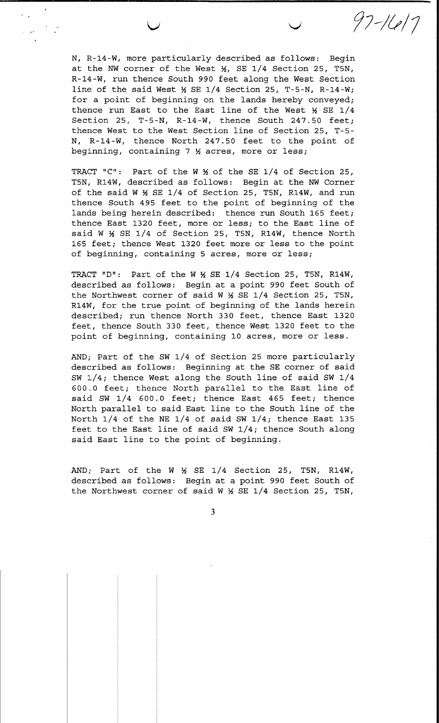N, R-14-W, more particularly described as follows: Begin at the NW corner of the West  $\frac{1}{2}$ , SE 1/4 Section 25, T5N, R-14-W, run thence South 990 feet along the West Section line of the said West  $\frac{1}{2}$  SE 1/4 Section 25, T-5-N, R-14-W; for a point of beginning on the lands hereby conveyed; thence run East to the East line of the West  $\frac{1}{2}$  SE 1/4 Section 25, T-5-N, R-14-W, thence South 247.50 feet; thence West to the West Section line of Section 25, T-5-N, R-14-W, thence North 247.50 feet to the point of beginning, containing 7 % acres, more or less;

 $97 - 1617$ 

TRACT "C": Part of the W \% of the SE 1/4 of Section 25, T5N, R14W, described as follows: Begin at the NW Corner of the said W X SE 1/4 of Section 25, T5N, R14W, and run thence South 495 feet to the point of beginning of the lands being herein described: thence run South 165 feet; thence East 1320 feet, more or less; to the East line of said W ½ SE 1/4 of Section 25, T5N, R14W, thence North 165 feet; thence West 1320 feet more or less to the point of beginning, containing 5 acres, more or less;

TRACT "D": Part of the W \ SE 1/4 Section 25, T5N, R14W, described as follows: Begin at a point 990 feet South of the Northwest corner of said W \ SE 1/4 Section 25, T5N, R14W, for the true point of beginning of the lands herein described; run thence North 330 feet, thence East 1320 feet, thence South 330 feet, thence West 1320 feet to the point of beginning, containing 10 acres, more or less.

AND; Part of the SW 1/4 of Section 25 more particularly described as follows: Beginning at the SE corner of said SW 1/4; thence West along the South line of said SW 1/4 600.0 feet; thence North parallel to the East line of said SW 1/4 600.0 feet; thence East 465 feet; thence North parallel to said East line to the South line of the North  $1/4$  of the NE  $1/4$  of said SW  $1/4$ ; thence East 135 feet to the East line of said SW 1/4; thence South along said East line to the point of beginning.

AND; Part of the W  $\frac{1}{2}$  SE 1/4 Section 25, T5N, R14W, described as follows: Begin at a point 990 feet South of the Northwest corner of said W \ SE 1/4 Section 25, T5N,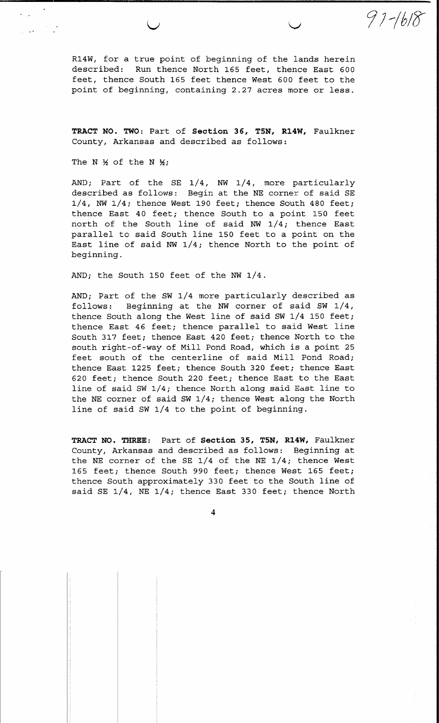R14W, for a true point of beginning of the lands herein described: Run thence North 165 feet, thence East 600 feet, thence South 165 feet thence West 600 feet to the point of beginning, containing 2.27 acres more or less.

 $97 - 1618$ 

TRACT NO. TWO: Part of Section 36, T5N, R14W, Faulkner County, Arkansas and described as follows:

The N  $\frac{1}{2}$  of the N  $\frac{1}{2}$ ;

AND; Part of the SE 1/4, NW 1/4, more particularly described as follows: Begin at the NE corner of said SE  $1/4$ , NW  $1/4$ ; thence West 190 feet; thence South 480 feet; thence East 40 feet; thence South to a point 150 feet north of the South line of said NW 1/4; thence East parallel to said South line 150 feet to a point on the East line of said NW  $1/4$ ; thence North to the point of beginning.

AND; the South 150 feet of the NW 1/4.

AND; Part of the SW 1/4 more particularly described as follows: Beginning at the NW corner of said SW 1/4, thence South along the West line of said SW 1/4 150 feet; thence East 46 feet; thence parallel to said West line South 317 feet; thence East 420 feet; thence North to the south right-of-way of Mill Pond Road, which is a point 25 feet south of the centerline of said Mill Pond Road; thence East 1225 feet; thence South 320 feet; thence East 620 feet; thence South 220 feet; thence East to the East line of said SW 1/4; thence North along said East line to the NE corner of said SW 1/4; thence West along the North line of said SW 1/4 to the point of beginning.

TRACT NO. THREE: Part of Section 35, T5N, R14W, Faulkner County, Arkansas and described as follows: Beginning at the NE corner of the SE  $1/4$  of the NE  $1/4$ ; thence West 165 feet; thence South 990 feet; thence West 165 feet; thence South approximately 330 feet to the South line of said SE 1/4, NE 1/4; thence East 330 feet; thence North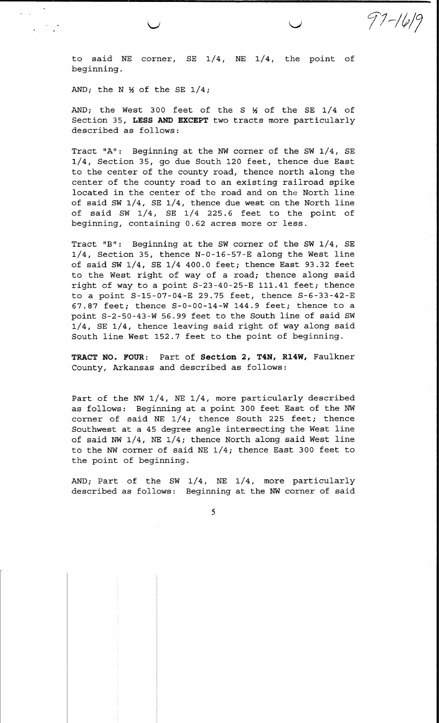to said NE corner, SE 1/4, NE 1/4, the point of beginning.

97-1619

AND; the N  $\frac{1}{2}$  of the SE 1/4;

AND; the West 300 feet of the S \% of the SE 1/4 of Section 35, LESS AND EXCEPT two tracts more particularly described as follows:

Tract "A": Beginning at the NW corner of the SW 1/4, SE 1/4, Section 35, go due South 120 feet, thence due East to the center of the county road, thence north along the center of the county road to an existing railroad spike located in the center of the road and on the North line of said SW 1/4, SE 1/4, thence due west on the North line of said SW 1/4, SE 1/4 225.6 feet to the point of beginning, containing 0.62 acres more or less.

Tract "B": Beginning at the SW corner of the SW 1/4, SE 1/4, Section 35, thence N-0-16-57-E along the West line of said SW 1/4, SE 1/4 400.0 feet; thence East 93.32 feet to the West right of way of a road; thence along said right of way to a point S-23-40-25-E 111.41 feet; thence to a point S-15-07-04-E 29.75 feet, thence S-6-33-42-E 67.87 feet; thence S-0-00-14-W 144.9 feet; thence to a point S-2-50-43-W 56.99 feet to the South line of said SW 1/4, SE 1/4, thence leaving said right of way along said South line West 152.7 feet to the point of beginning.

TRACT NO. FOUR: Part of Section 2, T4N, R14W, Faulkner County, Arkansas and described as follows:

Part of the NW 1/4, NE 1/4, more particularly described as follows: Beginning at a point 300 feet East of the NW corner of said NE 1/4; thence South 225 feet; thence Southwest at a 45 degree angle intersecting the West line of said NW 1/4, NE 1/4; thence North along said West line to the NW corner of said NE  $1/4$ ; thence East 300 feet to the point of beginning.

AND; Part of the SW 1/4, NE 1/4, more particularly described as follows: Beginning at the NW corner of said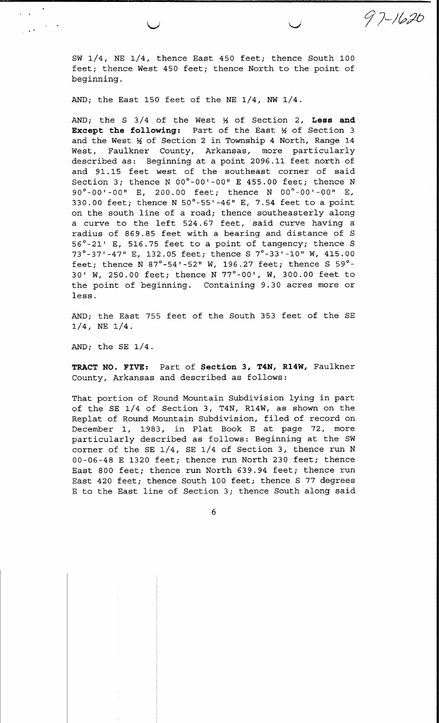SW 1/4, NE 1/4, thence East 450 feet; thence South 100 feet; thence West 450 feet; thence North to the point of beginning.

 $97 - 1620$ 

AND; the East 150 feet of the NE  $1/4$ , NW  $1/4$ .

AND; the S  $3/4$  of the West  $\frac{1}{2}$  of Section 2, Less and Except the following: Part of the East X of Section 3 and the West 1/2 of Section 2 in Township 4 North, Range 14 West, Faulkner County, Arkansas, more particularly described as: Beginning at a point 2096.11 feet north of and 91.15 feet west of the southeast corner of said Section 3; thence N 00°-00'-00" E 455.00 feet; thence N 90°-00'-00" E, 200.00 feet; thence N 00°-00'-00" E, 330.00 feet; thence N 50°-55'-46" E, 7.54 feet to a point on the south line of a road; thence southeasterly along a curve to the left 524.67 feet, said curve having a radius of 869.85 feet with a bearing and distance of S 56°-21' E, 516.75 feet to a point of tangency; thence S 73°-37'-47" E, 132.05 feet; thence S 7°-33'-10" W, 415.00 feet; thence N  $87^\circ$ -54'-52" W, 196.27 feet; thence S 59°-30' W, 250.00 feet; thence N 77°-00', W, 300.00 feet to the point of beginning. Containing 9.30 acres more or less.

AND; the East 755 feet of the South 353 feet of the SE  $1/4$ , NE  $1/4$ .

AND; the SE  $1/4$ .

 $\label{eq:1} \frac{1}{2}\left(\frac{1}{\sqrt{2}}\sum_{i=1}^{n} \frac{1}{2}\sum_{j=1}^{n} \frac{1}{2}\sum_{j=1}^{n} \frac{1}{2}\sum_{j=1}^{n} \frac{1}{2}\sum_{j=1}^{n} \frac{1}{2}\sum_{j=1}^{n} \frac{1}{2}\sum_{j=1}^{n} \frac{1}{2}\sum_{j=1}^{n} \frac{1}{2}\sum_{j=1}^{n} \frac{1}{2}\sum_{j=1}^{n} \frac{1}{2}\sum_{j=1}^{n} \frac{1}{2}\sum_{j=1}^{n} \frac{1}{2}\sum_{$ 

TRACT NO. FIVE: Part of Section 3, T4N, R14W, Faulkner County, Arkansas and described as follows:

That portion of Round Mountain Subdivision lying in part of the SE 1/4 of Section 3, T4N, R14W, as shown on the Replat of Round Mountain Subdivision, filed of record on December 1, 1983, in Plat Book E at page 72, more particularly described as follows: Beginning at the SW corner of the SE 1/4, SE 1/4 of Section 3, thence run N 00-06-48 E 1320 feet; thence run North 230 feet; thence East 800 feet; thence run North 639.94 feet; thence run East 420 feet; thence South 100 feet; thence S 77 degrees E to the East line of Section 3; thence South along said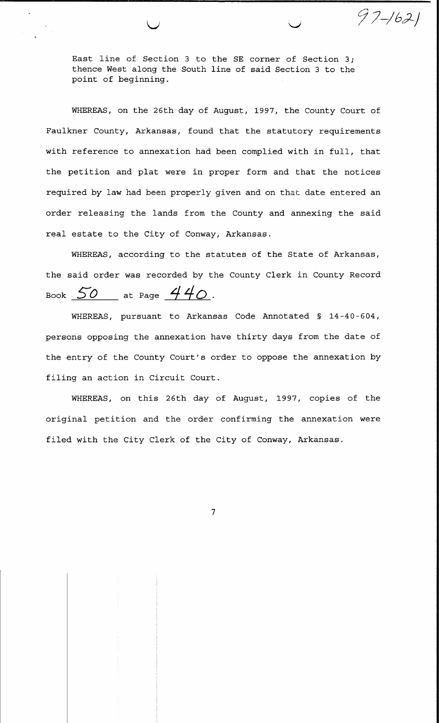East line of Section 3 to the SE corner of Section 3; thence West along the South line of said Section 3 to the point of beginning.

 $97 - 1621$ 

WHEREAS, on the 26th day of August, 1997, the County Court of Faulkner County, Arkansas, found that the statutory requirements with reference to annexation had been complied with in full, that the petition and plat were in proper form and that the notices required by law had been properly given and on that date entered an order releasing the lands from the County and annexing the said real estate to the City of Conway, Arkansas.

WHEREAS, according to the statutes of the State of Arkansas, the said order was recorded by the County Clerk in County Record Book  $50$  at Page  $440$ .

WHEREAS, pursuant to Arkansas Code Annotated § 14-40-604, persons opposing the annexation have thirty days from the date of the entry of the County Court's order to oppose the annexation by filing an action in Circuit Court.

WHEREAS, on this 26th day of August, 1997, copies of the original petition and the order confirming the annexation were filed with the City Clerk of the City of Conway, Arkansas.